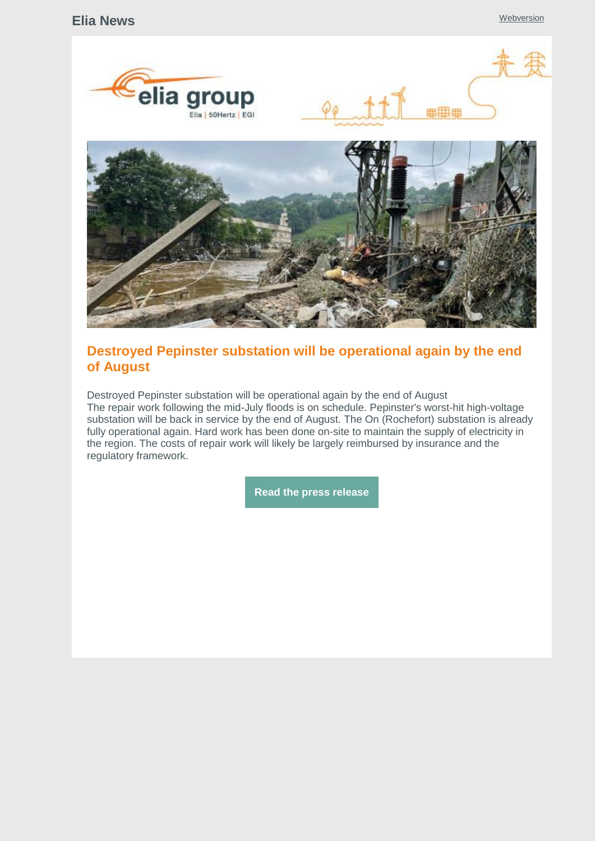

# **Destroyed Pepinster substation will be operational again by the end of August**

Destroyed Pepinster substation will be operational again by the end of August The repair work following the mid-July floods is on schedule. Pepinster's worst-hit high-voltage substation will be back in service by the end of August. The On (Rochefort) substation is already fully operational again. Hard work has been done on-site to maintain the supply of electricity in the region. The costs of repair work will likely be largely reimbursed by insurance and the regulatory framework.

**Read the press [release](https://www.elia.be/en/news/press-releases/2021/07/20210729_floods)**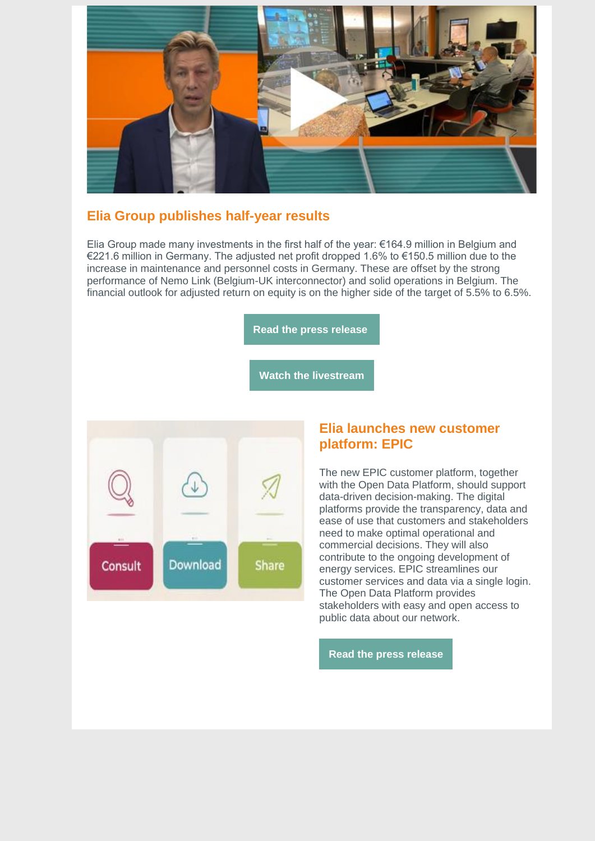

# **Elia Group publishes half-year results**

Elia Group made many investments in the first half of the year:  $\epsilon$ 164.9 million in Belgium and €221.6 million in Germany. The adjusted net profit dropped 1.6% to €150.5 million due to the increase in maintenance and personnel costs in Germany. These are offset by the strong performance of Nemo Link (Belgium-UK interconnector) and solid operations in Belgium. The financial outlook for adjusted return on equity is on the higher side of the target of 5.5% to 6.5%.

**Read the press [release](https://www.elia.be/en/news/press-releases/2021/07/20210727_half-year-results)**

**Watch the [livestream](https://www.elia.be/en/investor-relations/reports-and-results)**



#### **Elia launches new customer platform: EPIC**

The new EPIC customer platform, together with the Open Data Platform, should support data-driven decision-making. The digital platforms provide the transparency, data and ease of use that customers and stakeholders need to make optimal operational and commercial decisions. They will also contribute to the ongoing development of energy services. EPIC streamlines our customer services and data via a single login. The Open Data Platform provides stakeholders with easy and open access to public data about our network.

**Read the press [release](https://www.elia.be/en/news/press-releases/2021/07/20210707-to-facilitate-data-driven-decision-making-elia-launches-epic)**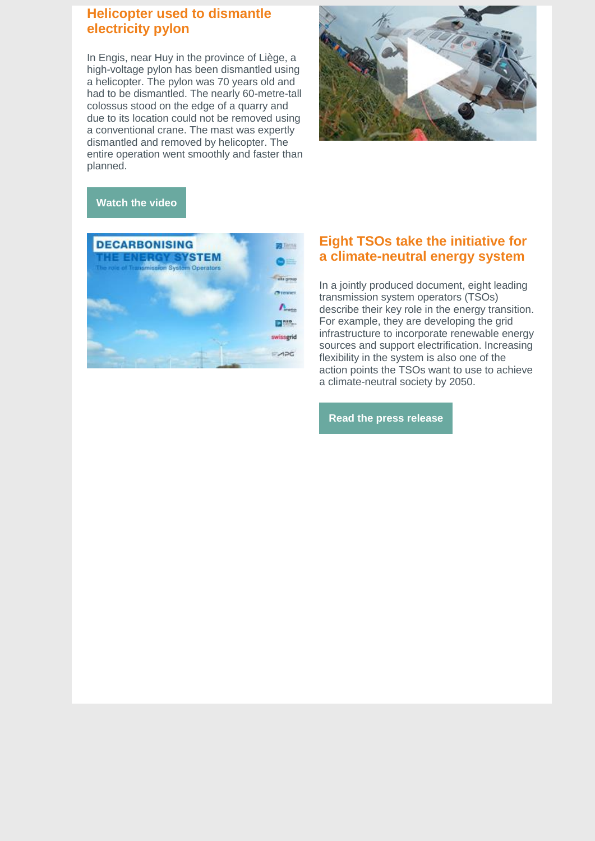# **Helicopter used to dismantle electricity pylon**

In Engis, near Huy in the province of Liège, a high-voltage pylon has been dismantled using a helicopter. The pylon was 70 years old and had to be dismantled. The nearly 60-metre-tall colossus stood on the edge of a quarry and due to its location could not be removed using a conventional crane. The mast was expertly dismantled and removed by helicopter. The entire operation went smoothly and faster than planned.



#### **[Watch](https://www.youtube.com/watch?v=3FB4RQf4Gck) the video**



### **Eight TSOs take the initiative for a climate-neutral energy system**

In a jointly produced document, eight leading transmission system operators (TSOs) describe their key role in the energy transition. For example, they are developing the grid infrastructure to incorporate renewable energy sources and support electrification. Increasing flexibility in the system is also one of the action points the TSOs want to use to achieve a climate-neutral society by 2050.

**Read the press [release](https://www.elia.be/en/news/press-releases/2021/07/20210712_role-of-tsos-in-the-decarbonisation-of-the-energy-system)**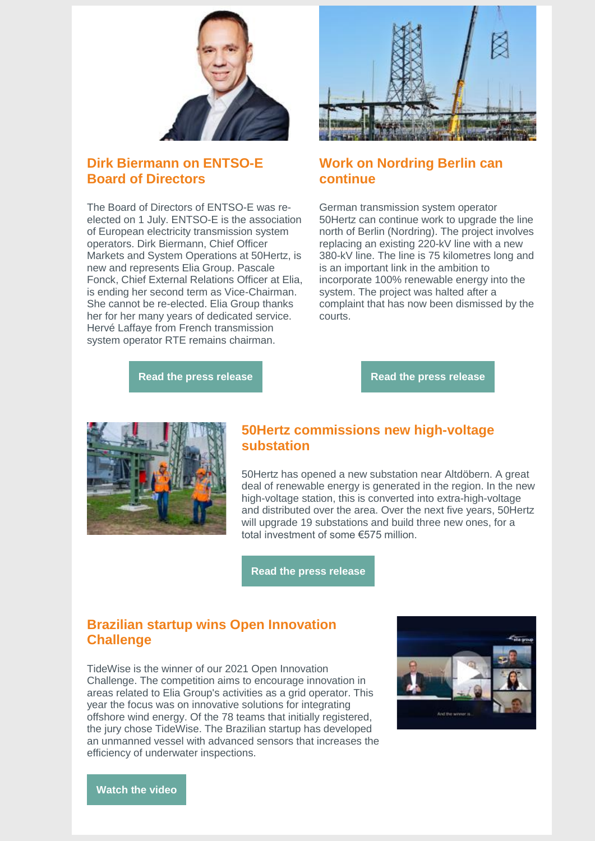

## **Dirk Biermann on ENTSO-E Board of Directors**

The Board of Directors of ENTSO-E was reelected on 1 July. ENTSO-E is the association of European electricity transmission system operators. Dirk Biermann, Chief Officer Markets and System Operations at 50Hertz, is new and represents Elia Group. Pascale Fonck, Chief External Relations Officer at Elia, is ending her second term as Vice-Chairman. She cannot be re-elected. Elia Group thanks her for her many years of dedicated service. Hervé Laffaye from French transmission system operator RTE remains chairman.



## **Work on Nordring Berlin can continue**

German transmission system operator 50Hertz can continue work to upgrade the line north of Berlin (Nordring). The project involves replacing an existing 220-kV line with a new 380-kV line. The line is 75 kilometres long and is an important link in the ambition to incorporate 100% renewable energy into the system. The project was halted after a complaint that has now been dismissed by the courts.

**Read the press [release](https://www.entsoe.eu/news/2021/06/30/entso-e-new-leadership-team-appointed/)**

**Read the press [release](https://www.50hertz.com/en/News/Details/7987/planning-approval-decision-legally-effective-50hertz-pleased-with-bverwg-judgement-regarding-the-380-kv-nordring-berlin-line)**



## **50Hertz commissions new high-voltage substation**

50Hertz has opened a new substation near Altdöbern. A great deal of renewable energy is generated in the region. In the new high-voltage station, this is converted into extra-high-voltage and distributed over the area. Over the next five years, 50Hertz will upgrade 19 substations and build three new ones, for a total investment of some €575 million.

**Read the press [release](https://www.50hertz.com/en/News/FullarticleNewsof50Hertz/7974/more-renewable-energy-from-lusatia-50hertz-commissions-new-substation-near-altdoebern)**

## **Brazilian startup wins Open Innovation Challenge**

TideWise is the winner of our 2021 Open Innovation Challenge. The competition aims to encourage innovation in areas related to Elia Group's activities as a grid operator. This year the focus was on innovative solutions for integrating offshore wind energy. Of the 78 teams that initially registered, the jury chose TideWise. The Brazilian startup has developed an unmanned vessel with advanced sensors that increases the efficiency of underwater inspections.



**[Watch](https://www.youtube.com/watch?v=JgM5fk-n8zI) the video**